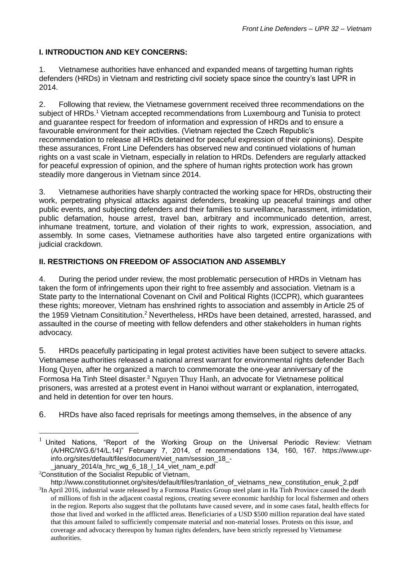#### **I. INTRODUCTION AND KEY CONCERNS:**

1. Vietnamese authorities have enhanced and expanded means of targetting human rights defenders (HRDs) in Vietnam and restricting civil society space since the country's last UPR in 2014.

2. Following that review, the Vietnamese government received three recommendations on the subject of HRDs.<sup>1</sup> Vietnam accepted recommendations from Luxembourg and Tunisia to protect and guarantee respect for freedom of information and expression of HRDs and to ensure a favourable environment for their activities. (Vietnam rejected the Czech Republic's recommendation to release all HRDs detained for peaceful expression of their opinions). Despite these assurances, Front Line Defenders has observed new and continued violations of human rights on a vast scale in Vietnam, especially in relation to HRDs. Defenders are regularly attacked for peaceful expression of opinion, and the sphere of human rights protection work has grown steadily more dangerous in Vietnam since 2014.

3. Vietnamese authorities have sharply contracted the working space for HRDs, obstructing their work, perpetrating physical attacks against defenders, breaking up peaceful trainings and other public events, and subjecting defenders and their families to surveillance, harassment, intimidation, public defamation, house arrest, travel ban, arbitrary and incommunicado detention, arrest, inhumane treatment, torture, and violation of their rights to work, expression, association, and assembly. In some cases, Vietnamese authorities have also targeted entire organizations with judicial crackdown.

## **II. RESTRICTIONS ON FREEDOM OF ASSOCIATION AND ASSEMBLY**

4. During the period under review, the most problematic persecution of HRDs in Vietnam has taken the form of infringements upon their right to free assembly and association. Vietnam is a State party to the International Covenant on Civil and Political Rights (ICCPR), which guarantees these rights; moreover, Vietnam has enshrined rights to association and assembly in Article 25 of the 1959 Vietnam Consititution.<sup>2</sup> Nevertheless, HRDs have been detained, arrested, harassed, and assaulted in the course of meeting with fellow defenders and other stakeholders in human rights advocacy.

5. HRDs peacefully participating in legal protest activities have been subject to severe attacks. Vietnamese authorities released a national arrest warrant for environmental rights defender [Bach](https://www.frontlinedefenders.org/en/case/bach-hong-quyen-targeted-coverage-formosa-waste-spill-protests)  [Hong Quyen](https://www.frontlinedefenders.org/en/case/bach-hong-quyen-targeted-coverage-formosa-waste-spill-protests), after he organized a march to commemorate the one-year anniversary of the Formosa Ha Tinh Steel disaster.<sup>3</sup> [Nguyen Thuy Hanh](https://www.frontlinedefenders.org/en/case/prisoners-rights-defenders-detained-and-beaten-police-0), an advocate for Vietnamese political prisoners, was arrested at a protest event in Hanoi without warrant or explanation, interrogated, and held in detention for over ten hours.

6. HRDs have also faced reprisals for meetings among themselves, in the absence of any

<sup>2</sup>Constitution of the Socialist Republic of Vietnam,

1

 $1$  United Nations, "Report of the Working Group on the Universal Periodic Review: Vietnam (A/HRC/WG.6/14/L.14)" February 7, 2014, cf recommendations 134, 160, 167. [https://www.upr](https://www.upr-info.org/sites/default/files/document/viet_nam/session_18_-_january_2014/a_hrc_wg_6_18_l_14_viet_nam_e.pdf)[info.org/sites/default/files/document/viet\\_nam/session\\_18\\_](https://www.upr-info.org/sites/default/files/document/viet_nam/session_18_-_january_2014/a_hrc_wg_6_18_l_14_viet_nam_e.pdf) january 2014/a hrc wg 6 18 l 14 viet nam e.pdf

[http://www.constitutionnet.org/sites/default/files/tranlation\\_of\\_vietnams\\_new\\_constitution\\_enuk\\_2.pdf](http://www.constitutionnet.org/sites/default/files/tranlation_of_vietnams_new_constitution_enuk_2.pdf) <sup>3</sup>In April 2016, industrial waste released by a Formosa Plastics Group steel plant in Ha Tinh Province caused the death of millions of fish in the adjacent coastal regions, creating severe economic hardship for local fishermen and others in the region. Reports also suggest that the pollutants have caused severe, and in some cases fatal, health effects for those that lived and worked in the afflicted areas. Beneficiaries of a USD \$500 million reparation deal have stated that this amount failed to sufficiently compensate material and non-material losses. Protests on this issue, and coverage and advocacy thereupon by human rights defenders, have been strictly repressed by Vietnamese authorities.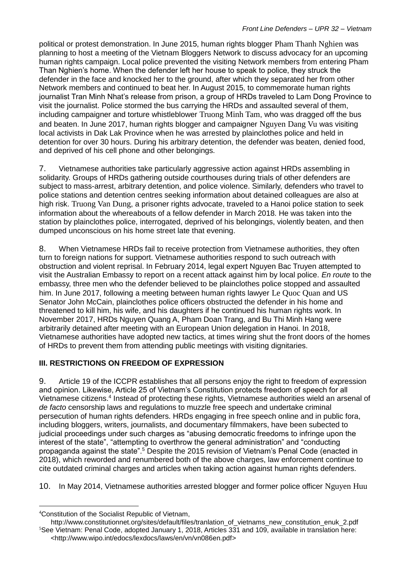political or protest demonstration. In June 2015, human rights blogger [Pham Thanh Nghien](https://www.frontlinedefenders.org/en/case/case-history-pham-thanh-nghien) was planning to host a meeting of the Vietnam Bloggers Network to discuss advocacy for an upcoming human rights campaign. Local police prevented the visiting Network members from entering Pham Than Nghien's home. When the defender left her house to speak to police, they struck the defender in the face and knocked her to the ground, after which they separated her from other Network members and continued to beat her. In August 2015, to commemorate human rights journalist Tran Minh Nhat's release from prison, a group of HRDs traveled to Lam Dong Province to visit the journalist. Police stormed the bus carrying the HRDs and assaulted several of them, including campaigner and torture whistleblower [Truong Minh Tam](https://www.frontlinedefenders.org/en/case/case-history-truong-minh-tam), who was dragged off the bus and beaten. In June 2017, human rights blogger and campaigner [Nguyen Dang Vu](https://www.frontlinedefenders.org/en/case/nguyen-dang-vu-arbitrarily-arrested-and-beaten-police) was visiting local activists in Dak Lak Province when he was arrested by plainclothes police and held in detention for over 30 hours. During his arbitrary detention, the defender was beaten, denied food, and deprived of his cell phone and other belongings.

7. Vietnamese authorities take particularly aggressive action against HRDs assembling in solidarity. Groups of HRDs gathering outside courthouses during trials of other defenders are subject to mass-arrest, arbitrary detention, and police violence. Similarly, defenders who travel to police stations and detention centres seeking information about detained colleagues are also at high risk. [Truong Van Dung](https://www.frontlinedefenders.org/en/case/prisoners-rights-defenders-detained-and-beaten-police), a prisoner rights advocate, traveled to a Hanoi police station to seek information about the whereabouts of a fellow defender in March 2018. He was taken into the station by plainclothes police, interrogated, deprived of his belongings, violently beaten, and then dumped unconscious on his home street late that evening.

8. When Vietnamese HRDs fail to receive protection from Vietnamese authorities, they often turn to foreign nations for support. Vietnamese authorities respond to such outreach with obstruction and violent reprisal. In February 2014, legal expert Nguyen Bac Truyen attempted to visit the Australian Embassy to report on a recent attack against him by local police. *En route* to the embassy, three men who the defender believed to be plainclothes police stopped and assaulted him. In June 2017, following a meeting between human rights lawyer [Le Quoc Quan](https://www.frontlinedefenders.org/en/case/agents-threaten-kill-hrd-family) and US Senator John McCain, plainclothes police officers obstructed the defender in his home and threatened to kill him, his wife, and his daughters if he continued his human rights work. In November 2017, HRDs Nguyen Quang A, Pham Doan Trang, and Bu Thi Minh Hang were arbitrarily detained after meeting with an European Union delegation in Hanoi. In 2018, Vietnamese authorities have adopted new tactics, at times wiring shut the front doors of the homes of HRDs to prevent them from attending public meetings with visiting dignitaries.

# **III. RESTRICTIONS ON FREEDOM OF EXPRESSION**

9. Article 19 of the ICCPR establishes that all persons enjoy the right to freedom of expression and opinion. Likewise, Article 25 of Vietnam's Constitution protects freedom of speech for all Vietnamese citizens.<sup>4</sup> Instead of protecting these rights, Vietnamese authorities wield an arsenal of *de facto* censorship laws and regulations to muzzle free speech and undertake criminal persecution of human rights defenders. HRDs engaging in free speech online and in public fora, including bloggers, writers, journalists, and documentary filmmakers, have been subected to judicial proceedings under such charges as "abusing democratic freedoms to infringe upon the interest of the state", "attempting to overthrow the general administration" and "conducting propaganda against the state".<sup>5</sup> Despite the 2015 revision of Vietnam's Penal Code (enacted in 2018), which reworded and renumbered both of the above charges, law enforcement continue to cite outdated criminal charges and articles when taking action against human rights defenders.

10. In May 2014, Vietnamese authorities arrested blogger and former police officer [Nguyen Huu](https://www.frontlinedefenders.org/en/case/case-history-nguyen-huu-vinh-ba-sam) 

1

<sup>4</sup>Constitution of the Socialist Republic of Vietnam,

[http://www.constitutionnet.org/sites/default/files/tranlation\\_of\\_vietnams\\_new\\_constitution\\_enuk\\_2.pdf](http://www.constitutionnet.org/sites/default/files/tranlation_of_vietnams_new_constitution_enuk_2.pdf) <sup>5</sup>See Vietnam: Penal Code, adopted January 1, 2018, Articles 331 and 109, available in translation here: [<http://www.wipo.int/edocs/lexdocs/laws/en/vn/vn086en.pdf>](http://www.wipo.int/edocs/lexdocs/laws/en/vn/vn086en.pdf)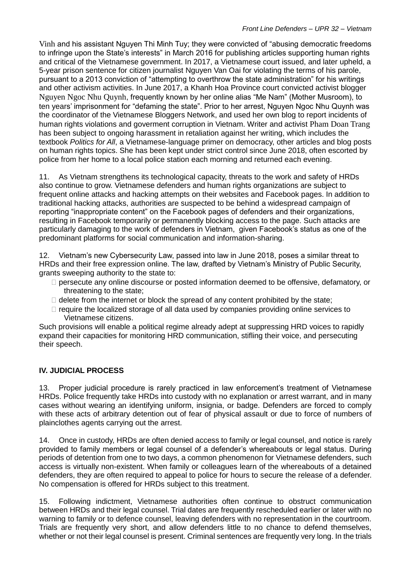[Vinh](https://www.frontlinedefenders.org/en/case/case-history-nguyen-huu-vinh-ba-sam) and his assistant Nguyen Thi Minh Tuy; they were convicted of "abusing democratic freedoms to infringe upon the State's interests" in March 2016 for publishing articles supporting human rights and critical of the Vietnamese government. In 2017, a Vietnamese court issued, and later upheld, a 5-year prison sentence for citizen journalist [Nguyen Van Oai](https://www.frontlinedefenders.org/en/case/nguyen-van-oai-arrested) for violating the terms of his parole, pursuant to a 2013 conviction of "attempting to overthrow the state administration" for his writings and other activism activities. In June 2017, a Khanh Hoa Province court convicted activist blogger [Nguyen Ngoc Nhu Quynh](https://www.frontlinedefenders.org/en/case/arrest-nguyen-ngoc-nhu-quynh), frequently known by her online alias "Me Nam" (Mother Musroom), to ten years' imprisonment for "defaming the state". Prior to her arrest, Nguyen Ngoc Nhu Quynh was the coordinator of the Vietnamese Bloggers Network, and used her own blog to report incidents of human rights violations and goverment corruption in Vietnam. Writer and activist [Pham Doan Trang](https://www.frontlinedefenders.org/en/case/pham-doan-trang-arrested-after-meeting-eu-delegation-hanoi) has been subject to ongoing harassment in retaliation against her writing, which includes the textbook *Politics for All*, a Vietnamese-language primer on democracy, other articles and blog posts on human rights topics. She has been kept under strict control since June 2018, often escorted by police from her home to a local police station each morning and returned each evening.

11. As Vietnam strengthens its technological capacity, threats to the work and safety of HRDs also continue to grow. Vietnamese defenders and human rights organizations are subject to frequent online attacks and hacking attempts on their websites and Facebook pages. In addition to traditional hacking attacks, authorities are suspected to be behind a widespread campaign of reporting "inappropriate content" on the Facebook pages of defenders and their organizations, resulting in Facebook temporarily or permanently blocking access to the page. Such attacks are particularly damaging to the work of defenders in Vietnam, given Facebook's status as one of the predominant platforms for social communication and information-sharing.

12. Vietnam's new Cybersecurity Law, passed into law in June 2018, poses a similar threat to HRDs and their free expression online. The law, drafted by Vietnam's Ministry of Public Security, grants sweeping authority to the state to:

- $\Box$  persecute any online discourse or posted information deemed to be offensive, defamatory, or threatening to the state;
- $\Box$  delete from the internet or block the spread of any content prohibited by the state;
- $\Box$  require the localized storage of all data used by companies providing online services to Vietnamese citizens.

Such provisions will enable a political regime already adept at suppressing HRD voices to rapidly expand their capacities for monitoring HRD communication, stifling their voice, and persecuting their speech.

## **IV. JUDICIAL PROCESS**

13. Proper judicial procedure is rarely practiced in law enforcement's treatment of Vietnamese HRDs. Police frequently take HRDs into custody with no explanation or arrest warrant, and in many cases without wearing an identifying uniform, insignia, or badge. Defenders are forced to comply with these acts of arbitrary detention out of fear of physical assault or due to force of numbers of plainclothes agents carrying out the arrest.

14. Once in custody, HRDs are often denied access to family or legal counsel, and notice is rarely provided to family members or legal counsel of a defender's whereabouts or legal status. During periods of detention from one to two days, a common phenomenon for Vietnamese defenders, such access is virtually non-existent. When family or colleagues learn of the whereabouts of a detained defenders, they are often required to appeal to police for hours to secure the release of a defender. No compensation is offered for HRDs subject to this treatment.

15. Following indictment, Vietnamese authorities often continue to obstruct communication between HRDs and their legal counsel. Trial dates are frequently rescheduled earlier or later with no warning to family or to defence counsel, leaving defenders with no representation in the courtroom. Trials are frequently very short, and allow defenders little to no chance to defend themselves, whether or not their legal counsel is present. Criminal sentences are frequently very long. In the trials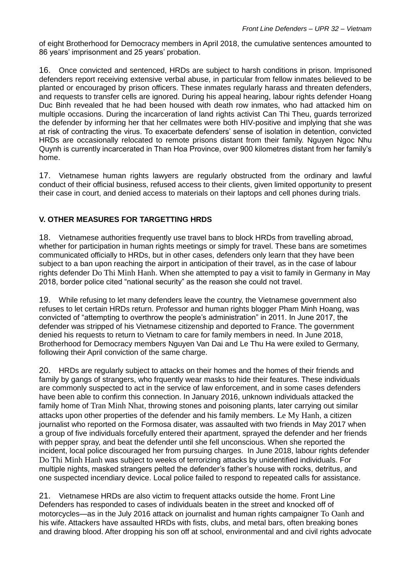of eight Brotherhood for Democracy members in April 2018, the cumulative sentences amounted to [86 years' imprisonment and 25 years' probation.](https://www.frontlinedefenders.org/en/case/eight-members-brotherhood-democracy-found-guilty-and-sentenced-0)

16. Once convicted and sentenced, HRDs are subject to harsh conditions in prison. Imprisoned defenders report receiving extensive verbal abuse, in particular from fellow inmates believed to be planted or encouraged by prison officers. These inmates regularly harass and threaten defenders, and requests to transfer cells are ignored. During his appeal hearing, labour rights defender Hoang [Duc Binh](https://www.frontlinedefenders.org/en/case/hoang-duc-binh-targeted-coverage-formosa-waste-spill-protests) revealed that he had been housed with death row inmates, who had attacked him on multiple occasions. During the incarceration of land rights activist [Can Thi Theu,](https://www.frontlinedefenders.org/en/case/sentencing-land-rights-defender-can-thi-theu) guards terrorized the defender by informing her that her cellmates were both HIV-positive and implying that she was at risk of contracting the virus. To exacerbate defenders' sense of isolation in detention, convicted HRDs are occasionally relocated to remote prisons distant from their family. [Nguyen Ngoc Nhu](https://www.frontlinedefenders.org/en/case/arrest-nguyen-ngoc-nhu-quynh)  [Quynh](https://www.frontlinedefenders.org/en/case/arrest-nguyen-ngoc-nhu-quynh) is currently incarcerated in Than Hoa Province, over 900 kilometres distant from her family's home.

17. Vietnamese human rights lawyers are regularly obstructed from the ordinary and lawful conduct of their official business, refused access to their clients, given limited opportunity to present their case in court, and denied access to materials on their laptops and cell phones during trials.

## **V. OTHER MEASURES FOR TARGETTING HRDS**

18. Vietnamese authorities frequently use travel bans to block HRDs from travelling abroad, whether for participation in human rights meetings or simply for travel. These bans are sometimes communicated officially to HRDs, but in other cases, defenders only learn that they have been subject to a ban upon reaching the airport in anticipation of their travel, as in the case of labour rights defender [Do Thi Minh Hanh](https://www.frontlinedefenders.org/en/profile/do-thi-minh-hanh). When she attempted to pay a visit to family in Germany in May 2018, border police cited "national security" as the reason she could not travel.

19. While refusing to let many defenders leave the country, the Vietnamese government also refuses to let certain HRDs return. Professor and human rights blogger [Pham Minh Hoang,](https://www.frontlinedefenders.org/en/case/pham-minh-hoang-faces-deportation) was convicted of "attempting to overthrow the people's administration" in 2011. In June 2017, the defender was stripped of his Vietnamese citizenship and deported to France. The government denied his requests to return to Vietnam to care for family members in need. In June 2018, Brotherhood for Democracy members [Nguyen Van Dai](https://www.frontlinedefenders.org/en/case/case-history-nguyen-van-dai) and [Le Thu Ha](https://www.frontlinedefenders.org/en/case/eight-members-brotherhood-democracy-found-guilty-and-sentenced-0) were exiled to Germany, following their April conviction of the same charge.

20. HRDs are regularly subject to attacks on their homes and the homes of their friends and family by gangs of strangers, who frquently wear masks to hide their features. These individuals are commonly suspected to act in the service of law enforcement, and in some cases defenders have been able to confirm this connection. In January 2016, unknown individuals attacked the family home of [Tran](https://www.frontlinedefenders.org/en/case/case-history-tran-minh-nhat) [Minh Nhat](https://www.frontlinedefenders.org/en/case/case-history-tran-minh-nhat), throwing stones and poisoning plants, later carrying out similar attacks upon other properties of the defender and his family members. [Le My Hanh](https://www.frontlinedefenders.org/en/case/beating-environmental-rights-defender-le-my-hanh), a citizen journalist who reported on the Formosa disater, was assaulted with two friends in May 2017 when a group of five individuals forcefully entered their apartment, sprayed the defender and her friends with pepper spray, and beat the defender until she fell unconscious. When she reported the incident, local police discouraged her from pursuing charges. In June 2018, labour rights defender [Do Thi Minh Hanh](https://www.frontlinedefenders.org/en/profile/do-thi-minh-hanh) was subject to weeks of terrorizing attacks by unidentified individuals. For multiple nights, masked strangers pelted the defender's father's house with rocks, detritus, and one suspected incendiary device. Local police failed to respond to repeated calls for assistance.

21. Vietnamese HRDs are also victim to frequent attacks outside the home. Front Line Defenders has responded to cases of individuals beaten in the street and knocked off of motorcycles—as in the July 2016 attack on journalist and human rights campaigner [To Oanh](https://www.frontlinedefenders.org/en/case/case-history-oanh) and his wife. Attackers have assaulted HRDs with fists, clubs, and metal bars, often breaking bones and drawing blood. After dropping his son off at school, environmental and and civil rights advocate